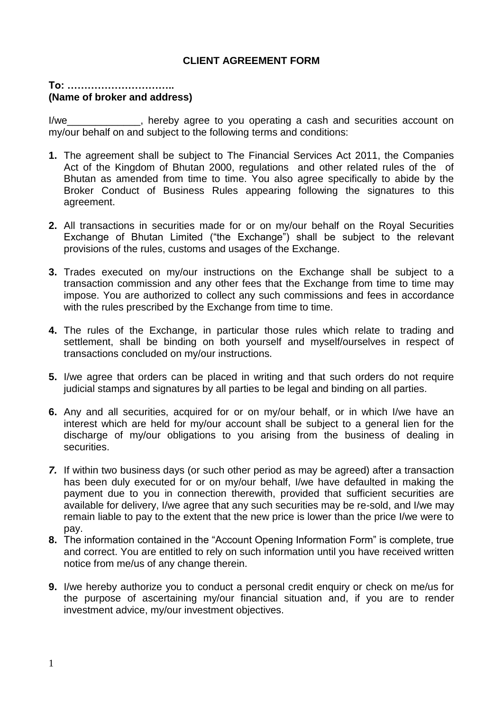## **CLIENT AGREEMENT FORM**

## **To: ………………………….. (Name of broker and address)**

I/we\_\_\_\_\_\_\_\_\_\_\_\_\_, hereby agree to you operating a cash and securities account on my/our behalf on and subject to the following terms and conditions:

- **1.** The agreement shall be subject to The Financial Services Act 2011, the Companies Act of the Kingdom of Bhutan 2000, regulations and other related rules of the of Bhutan as amended from time to time. You also agree specifically to abide by the Broker Conduct of Business Rules appearing following the signatures to this agreement.
- **2.** All transactions in securities made for or on my/our behalf on the Royal Securities Exchange of Bhutan Limited ("the Exchange") shall be subject to the relevant provisions of the rules, customs and usages of the Exchange.
- **3.** Trades executed on my/our instructions on the Exchange shall be subject to a transaction commission and any other fees that the Exchange from time to time may impose. You are authorized to collect any such commissions and fees in accordance with the rules prescribed by the Exchange from time to time.
- **4.** The rules of the Exchange, in particular those rules which relate to trading and settlement, shall be binding on both yourself and myself/ourselves in respect of transactions concluded on my/our instructions.
- **5.** I/we agree that orders can be placed in writing and that such orders do not require judicial stamps and signatures by all parties to be legal and binding on all parties.
- **6.** Any and all securities, acquired for or on my/our behalf, or in which I/we have an interest which are held for my/our account shall be subject to a general lien for the discharge of my/our obligations to you arising from the business of dealing in securities.
- *7.* If within two business days (or such other period as may be agreed) after a transaction has been duly executed for or on my/our behalf, I/we have defaulted in making the payment due to you in connection therewith, provided that sufficient securities are available for delivery, I/we agree that any such securities may be re-sold, and I/we may remain liable to pay to the extent that the new price is lower than the price I/we were to pay.
- **8.** The information contained in the "Account Opening Information Form" is complete, true and correct. You are entitled to rely on such information until you have received written notice from me/us of any change therein.
- **9.** I/we hereby authorize you to conduct a personal credit enquiry or check on me/us for the purpose of ascertaining my/our financial situation and, if you are to render investment advice, my/our investment objectives.